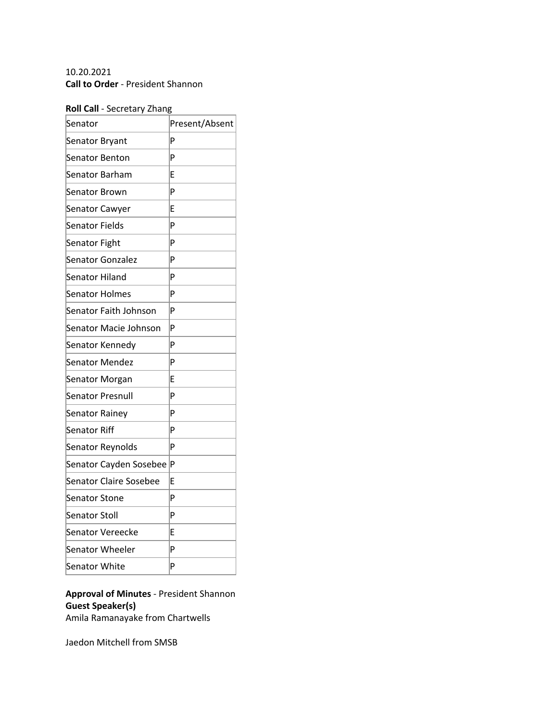# 10.20.2021 **Call to Order** - President Shannon

#### **Roll Call** - Secretary Zhang

| Senator                       | Present/Absent |
|-------------------------------|----------------|
| Senator Bryant                | P              |
| Senator Benton                | P              |
| Senator Barham                | F              |
| Senator Brown                 | P              |
| Senator Cawyer                | E              |
| Senator Fields                | P              |
| Senator Fight                 | P              |
| <b>Senator Gonzalez</b>       | P              |
| Senator Hiland                | P              |
| Senator Holmes                | P              |
| Senator Faith Johnson         | P              |
| Senator Macie Johnson         | P              |
| Senator Kennedy               | P              |
| Senator Mendez                | P              |
| Senator Morgan                | E              |
| <b>Senator Presnull</b>       | P              |
| Senator Rainey                | P              |
| Senator Riff                  | P              |
| Senator Reynolds              | P              |
| Senator Cayden Sosebee        | P              |
| <b>Senator Claire Sosebee</b> | E              |
| <b>Senator Stone</b>          | P              |
| Senator Stoll                 | P              |
| Senator Vereecke              | E              |
| Senator Wheeler               | P              |
| Senator White                 | P              |

# **Approval of Minutes** - President Shannon **Guest Speaker(s)**

Amila Ramanayake from Chartwells

Jaedon Mitchell from SMSB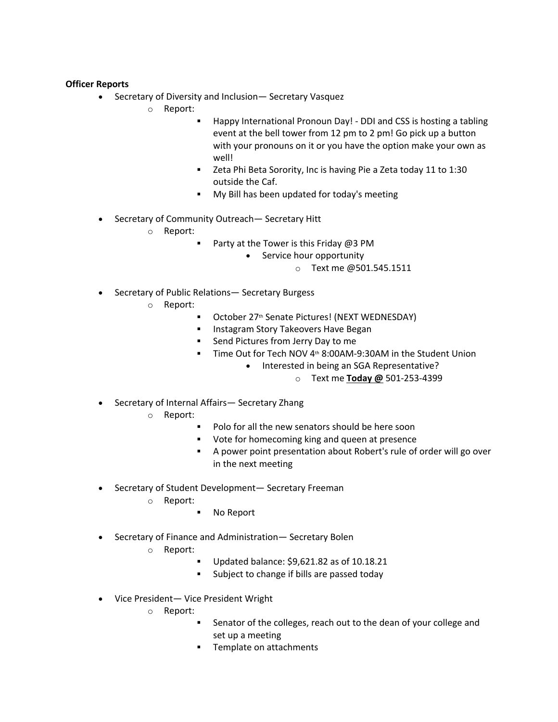#### **Officer Reports**

- Secretary of Diversity and Inclusion— Secretary Vasquez
	- o Report:
		- § Happy International Pronoun Day! DDI and CSS is hosting a tabling event at the bell tower from 12 pm to 2 pm! Go pick up a button with your pronouns on it or you have the option make your own as well!
		- Zeta Phi Beta Sorority, Inc is having Pie a Zeta today 11 to 1:30 outside the Caf.
		- My Bill has been updated for today's meeting
- Secretary of Community Outreach— Secretary Hitt
	- o Report:
		- Party at the Tower is this Friday @3 PM
			- Service hour opportunity
				- o Text me @501.545.1511
- Secretary of Public Relations— Secretary Burgess
	- o Report:
		- October 27<sup>th</sup> Senate Pictures! (NEXT WEDNESDAY)
		- **■** Instagram Story Takeovers Have Began
		- Send Pictures from Jerry Day to me
		- Time Out for Tech NOV 4<sup>th</sup> 8:00AM-9:30AM in the Student Union
			- Interested in being an SGA Representative?
				- o Text me **Today @** 501-253-4399
- Secretary of Internal Affairs— Secretary Zhang
	- o Report:
		- Polo for all the new senators should be here soon
		- Vote for homecoming king and queen at presence
		- § A power point presentation about Robert's rule of order will go over in the next meeting
- Secretary of Student Development— Secretary Freeman
	- o Report:
		- No Report
- Secretary of Finance and Administration— Secretary Bolen
	- o Report:
		- § Updated balance: \$9,621.82 as of 10.18.21
		- Subject to change if bills are passed today
- Vice President— Vice President Wright
	- o Report:
		- Senator of the colleges, reach out to the dean of your college and set up a meeting
		- Template on attachments